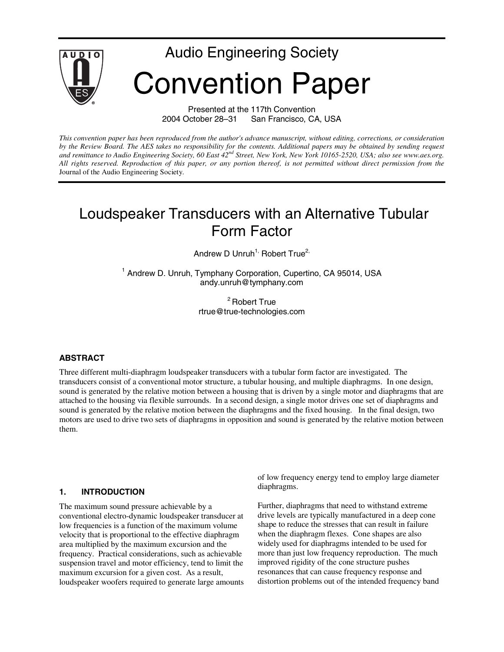

Presented at the 117th Convention<br>2004 October 28–31 San Francisco, CA San Francisco, CA, USA

*This convention paper has been reproduced from the author's advance manuscript, without editing, corrections, or consideration by the Review Board. The AES takes no responsibility for the contents. Additional papers may be obtained by sending request and remittance to Audio Engineering Society, 60 East 42nd Street, New York, New York 10165-2520, USA; also see www.aes.org. All rights reserved. Reproduction of this paper, or any portion thereof, is not permitted without direct permission from the* Journal of the Audio Engineering Society.

# Loudspeaker Transducers with an Alternative Tubular Form Factor

Andrew D Unruh<sup>1,</sup> Robert True<sup>2,</sup>

<sup>1</sup> Andrew D. Unruh, Tymphany Corporation, Cupertino, CA 95014, USA andy.unruh@tymphany.com

> <sup>2</sup> Robert True rtrue@true-technologies.com

#### **ABSTRACT**

Three different multi-diaphragm loudspeaker transducers with a tubular form factor are investigated. The transducers consist of a conventional motor structure, a tubular housing, and multiple diaphragms. In one design, sound is generated by the relative motion between a housing that is driven by a single motor and diaphragms that are attached to the housing via flexible surrounds. In a second design, a single motor drives one set of diaphragms and sound is generated by the relative motion between the diaphragms and the fixed housing. In the final design, two motors are used to drive two sets of diaphragms in opposition and sound is generated by the relative motion between them.

#### **1. INTRODUCTION**

The maximum sound pressure achievable by a conventional electro-dynamic loudspeaker transducer at low frequencies is a function of the maximum volume velocity that is proportional to the effective diaphragm area multiplied by the maximum excursion and the frequency. Practical considerations, such as achievable suspension travel and motor efficiency, tend to limit the maximum excursion for a given cost. As a result, loudspeaker woofers required to generate large amounts of low frequency energy tend to employ large diameter diaphragms.

Further, diaphragms that need to withstand extreme drive levels are typically manufactured in a deep cone shape to reduce the stresses that can result in failure when the diaphragm flexes. Cone shapes are also widely used for diaphragms intended to be used for more than just low frequency reproduction. The much improved rigidity of the cone structure pushes resonances that can cause frequency response and distortion problems out of the intended frequency band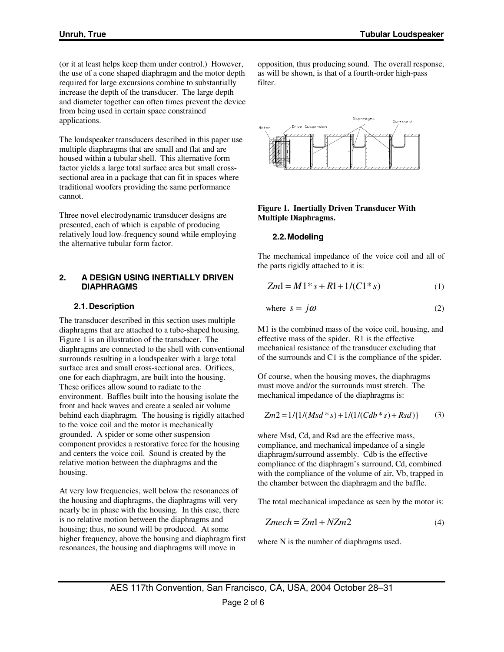(or it at least helps keep them under control.) However, the use of a cone shaped diaphragm and the motor depth required for large excursions combine to substantially increase the depth of the transducer. The large depth and diameter together can often times prevent the device from being used in certain space constrained applications.

The loudspeaker transducers described in this paper use multiple diaphragms that are small and flat and are housed within a tubular shell. This alternative form factor yields a large total surface area but small crosssectional area in a package that can fit in spaces where traditional woofers providing the same performance cannot.

Three novel electrodynamic transducer designs are presented, each of which is capable of producing relatively loud low-frequency sound while employing the alternative tubular form factor.

#### **2. A DESIGN USING INERTIALLY DRIVEN DIAPHRAGMS**

## **2.1. Description**

The transducer described in this section uses multiple diaphragms that are attached to a tube-shaped housing. Figure 1 is an illustration of the transducer. The diaphragms are connected to the shell with conventional surrounds resulting in a loudspeaker with a large total surface area and small cross-sectional area. Orifices, one for each diaphragm, are built into the housing. These orifices allow sound to radiate to the environment. Baffles built into the housing isolate the front and back waves and create a sealed air volume behind each diaphragm. The housing is rigidly attached to the voice coil and the motor is mechanically grounded. A spider or some other suspension component provides a restorative force for the housing and centers the voice coil. Sound is created by the relative motion between the diaphragms and the housing.

At very low frequencies, well below the resonances of the housing and diaphragms, the diaphragms will very nearly be in phase with the housing. In this case, there is no relative motion between the diaphragms and housing; thus, no sound will be produced. At some higher frequency, above the housing and diaphragm first resonances, the housing and diaphragms will move in

opposition, thus producing sound. The overall response, as will be shown, is that of a fourth-order high-pass filter.



#### **Figure 1. Inertially Driven Transducer With Multiple Diaphragms.**

## **2.2. Modeling**

The mechanical impedance of the voice coil and all of the parts rigidly attached to it is:

$$
Zm1 = M1 * s + R1 + 1/(C1 * s)
$$
 (1)

where 
$$
s = j\omega
$$
 (2)

M1 is the combined mass of the voice coil, housing, and effective mass of the spider. R1 is the effective mechanical resistance of the transducer excluding that of the surrounds and C1 is the compliance of the spider.

Of course, when the housing moves, the diaphragms must move and/or the surrounds must stretch. The mechanical impedance of the diaphragms is:

$$
Zm2 = 1/{1/(Msd * s) + 1/(1/(Cdb * s) + Rsd)}
$$
 (3)

where Msd, Cd, and Rsd are the effective mass, compliance, and mechanical impedance of a single diaphragm/surround assembly. Cdb is the effective compliance of the diaphragm's surround, Cd, combined with the compliance of the volume of air, Vb, trapped in the chamber between the diaphragm and the baffle.

The total mechanical impedance as seen by the motor is:

$$
Zmech = Zm1 + NZm2 \tag{4}
$$

where N is the number of diaphragms used.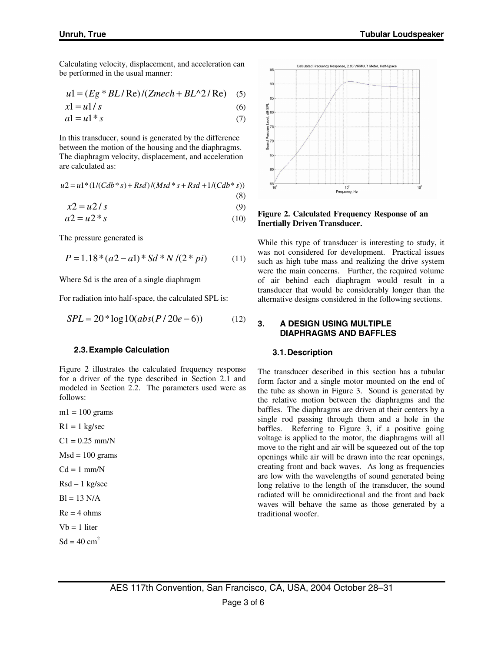Calculating velocity, displacement, and acceleration can be performed in the usual manner:

$$
u1 = (Eg * BL / \text{Re}) / (Zmech + BL^2 / \text{Re}) \quad (5)
$$

$$
x1 = u1/s \tag{6}
$$

$$
a1 = u1 * s \tag{7}
$$

In this transducer, sound is generated by the difference between the motion of the housing and the diaphragms. The diaphragm velocity, displacement, and acceleration are calculated as:

$$
u2 = u1*(1/(Cdb*s) + Rsd)/(Msd*s + Rsd + 1/(Cdb*s))
$$
\n(8)

$$
x2 = u2/s \tag{9}
$$

$$
a2 = u2 \cdot s \tag{10}
$$

The pressure generated is

$$
P = 1.18 * (a2 - a1) * Sd * N / (2 * pi)
$$
 (11)

Where Sd is the area of a single diaphragm

For radiation into half-space, the calculated SPL is:

$$
SPL = 20 * \log 10 (abs(P/20e-6))
$$
 (12)

#### **2.3. Example Calculation**

Figure 2 illustrates the calculated frequency response for a driver of the type described in Section 2.1 and modeled in Section 2.2. The parameters used were as follows:

 $ml = 100$  grams

 $R1 = 1$  kg/sec

- $C1 = 0.25$  mm/N
- $Msd = 100$  grams
- $Cd = 1$  mm/N

Rsd – 1 kg/sec

$$
Bl = 13 N/A
$$

 $Re = 4 ohms$ 

 $Vb = 1$  liter

$$
Sd = 40 \text{ cm}^2
$$



**Figure 2. Calculated Frequency Response of an Inertially Driven Transducer.** 

While this type of transducer is interesting to study, it was not considered for development. Practical issues such as high tube mass and realizing the drive system were the main concerns. Further, the required volume of air behind each diaphragm would result in a transducer that would be considerably longer than the alternative designs considered in the following sections.

#### **3. A DESIGN USING MULTIPLE DIAPHRAGMS AND BAFFLES**

#### **3.1. Description**

The transducer described in this section has a tubular form factor and a single motor mounted on the end of the tube as shown in Figure 3. Sound is generated by the relative motion between the diaphragms and the baffles. The diaphragms are driven at their centers by a single rod passing through them and a hole in the baffles. Referring to Figure 3, if a positive going voltage is applied to the motor, the diaphragms will all move to the right and air will be squeezed out of the top openings while air will be drawn into the rear openings, creating front and back waves. As long as frequencies are low with the wavelengths of sound generated being long relative to the length of the transducer, the sound radiated will be omnidirectional and the front and back waves will behave the same as those generated by a traditional woofer.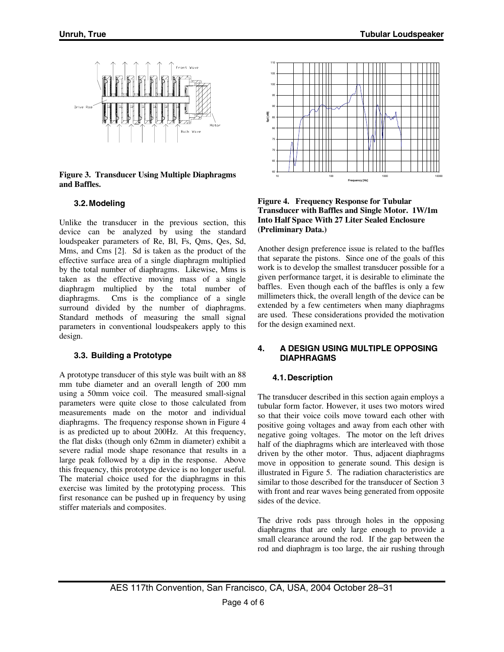

**Figure 3. Transducer Using Multiple Diaphragms and Baffles.** 

## **3.2. Modeling**

Unlike the transducer in the previous section, this device can be analyzed by using the standard loudspeaker parameters of Re, Bl, Fs, Qms, Qes, Sd, Mms, and Cms [2]. Sd is taken as the product of the effective surface area of a single diaphragm multiplied by the total number of diaphragms. Likewise, Mms is taken as the effective moving mass of a single diaphragm multiplied by the total number of diaphragms. Cms is the compliance of a single surround divided by the number of diaphragms. Standard methods of measuring the small signal parameters in conventional loudspeakers apply to this design.

# **3.3. Building a Prototype**

A prototype transducer of this style was built with an 88 mm tube diameter and an overall length of 200 mm using a 50mm voice coil. The measured small-signal parameters were quite close to those calculated from measurements made on the motor and individual diaphragms. The frequency response shown in Figure 4 is as predicted up to about 200Hz. At this frequency, the flat disks (though only 62mm in diameter) exhibit a severe radial mode shape resonance that results in a large peak followed by a dip in the response. Above this frequency, this prototype device is no longer useful. The material choice used for the diaphragms in this exercise was limited by the prototyping process. This first resonance can be pushed up in frequency by using stiffer materials and composites.



**Figure 4. Frequency Response for Tubular Transducer with Baffles and Single Motor. 1W/1m Into Half Space With 27 Liter Sealed Enclosure (Preliminary Data.)** 

Another design preference issue is related to the baffles that separate the pistons. Since one of the goals of this work is to develop the smallest transducer possible for a given performance target, it is desirable to eliminate the baffles. Even though each of the baffles is only a few millimeters thick, the overall length of the device can be extended by a few centimeters when many diaphragms are used. These considerations provided the motivation for the design examined next.

## **4. A DESIGN USING MULTIPLE OPPOSING DIAPHRAGMS**

## **4.1. Description**

The transducer described in this section again employs a tubular form factor. However, it uses two motors wired so that their voice coils move toward each other with positive going voltages and away from each other with negative going voltages. The motor on the left drives half of the diaphragms which are interleaved with those driven by the other motor. Thus, adjacent diaphragms move in opposition to generate sound. This design is illustrated in Figure 5. The radiation characteristics are similar to those described for the transducer of Section 3 with front and rear waves being generated from opposite sides of the device.

The drive rods pass through holes in the opposing diaphragms that are only large enough to provide a small clearance around the rod. If the gap between the rod and diaphragm is too large, the air rushing through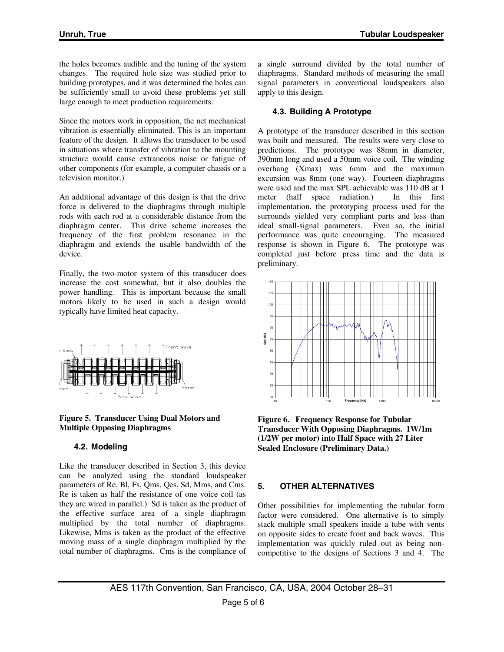the holes becomes audible and the tuning of the system changes. The required hole size was studied prior to building prototypes, and it was determined the holes can be sufficiently small to avoid these problems yet still large enough to meet production requirements.

Since the motors work in opposition, the net mechanical vibration is essentially eliminated. This is an important feature of the design. It allows the transducer to be used in situations where transfer of vibration to the mounting structure would cause extraneous noise or fatigue of other components (for example, a computer chassis or a television monitor.)

An additional advantage of this design is that the drive force is delivered to the diaphragms through multiple rods with each rod at a considerable distance from the diaphragm center. This drive scheme increases the frequency of the first problem resonance in the diaphragm and extends the usable bandwidth of the device.

Finally, the two-motor system of this transducer does increase the cost somewhat, but it also doubles the power handling. This is important because the small motors likely to be used in such a design would typically have limited heat capacity.



**Figure 5. Transducer Using Dual Motors and Multiple Opposing Diaphragms** 

# **4.2. Modeling**

Like the transducer described in Section 3, this device can be analyzed using the standard loudspeaker parameters of Re, Bl, Fs, Qms, Qes, Sd, Mms, and Cms. Re is taken as half the resistance of one voice coil (as they are wired in parallel.) Sd is taken as the product of the effective surface area of a single diaphragm multiplied by the total number of diaphragms. Likewise, Mms is taken as the product of the effective moving mass of a single diaphragm multiplied by the total number of diaphragms. Cms is the compliance of

a single surround divided by the total number of diaphragms. Standard methods of measuring the small signal parameters in conventional loudspeakers also apply to this design.

# **4.3. Building A Prototype**

A prototype of the transducer described in this section was built and measured. The results were very close to predictions. The prototype was 88mm in diameter, 390mm long and used a 50mm voice coil. The winding overhang (Xmax) was 6mm and the maximum excursion was 8mm (one way). Fourteen diaphragms were used and the max SPL achievable was 110 dB at 1 meter (half space radiation.) In this first implementation, the prototyping process used for the surrounds yielded very compliant parts and less than ideal small-signal parameters. Even so, the initial performance was quite encouraging. The measured response is shown in Figure 6. The prototype was completed just before press time and the data is preliminary.



**Figure 6. Frequency Response for Tubular Transducer With Opposing Diaphragms. 1W/1m (1/2W per motor) into Half Space with 27 Liter Sealed Enclosure (Preliminary Data.)** 

# **5. OTHER ALTERNATIVES**

Other possibilities for implementing the tubular form factor were considered. One alternative is to simply stack multiple small speakers inside a tube with vents on opposite sides to create front and back waves. This implementation was quickly ruled out as being noncompetitive to the designs of Sections 3 and 4. The